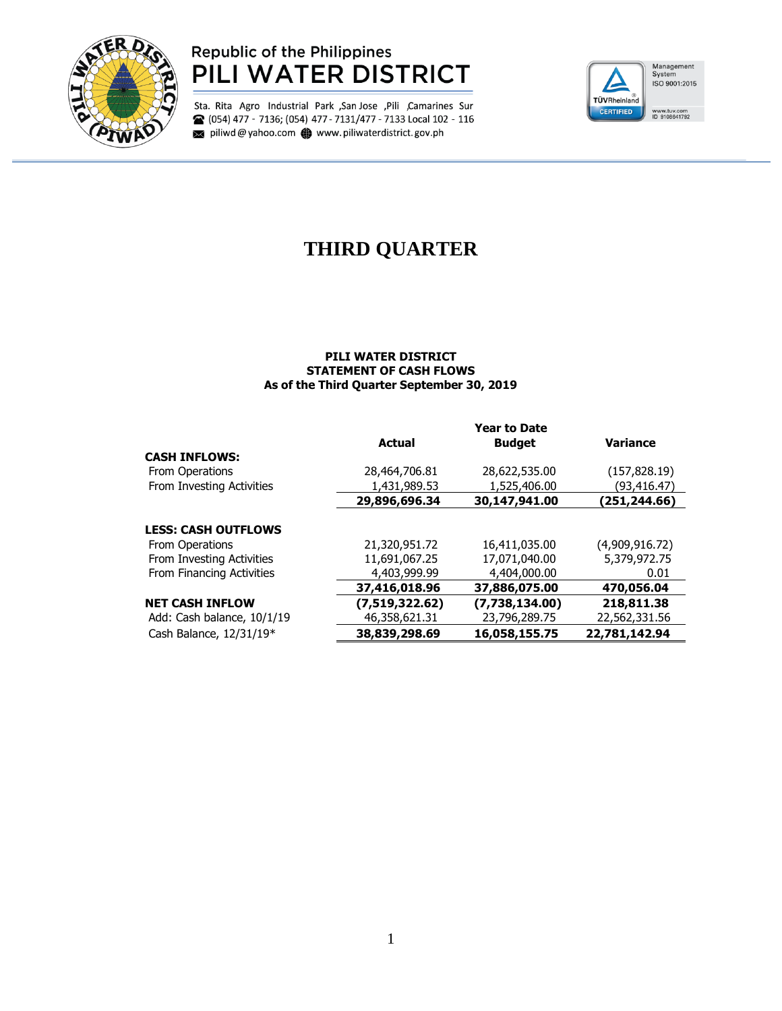

### **Republic of the Philippines** PILI WATER DISTRICT

Sta. Rita Agro Industrial Park , San Jose , Pili , Camarines Sur <sup>2</sup> (054) 477 - 7136; (054) 477 - 7131/477 - 7133 Local 102 - 116 piliwd@yahoo.com www.piliwaterdistrict.gov.ph



# **THIRD QUARTER**

#### **PILI WATER DISTRICT STATEMENT OF CASH FLOWS As of the Third Quarter September 30, 2019**

|                            | <b>Year to Date</b> |                |                 |  |  |
|----------------------------|---------------------|----------------|-----------------|--|--|
|                            | <b>Actual</b>       | <b>Budget</b>  | <b>Variance</b> |  |  |
| <b>CASH INFLOWS:</b>       |                     |                |                 |  |  |
| From Operations            | 28,464,706.81       | 28,622,535.00  | (157, 828.19)   |  |  |
| From Investing Activities  | 1,431,989.53        | 1,525,406.00   | (93,416.47)     |  |  |
|                            | 29,896,696.34       | 30,147,941.00  | (251,244.66)    |  |  |
|                            |                     |                |                 |  |  |
| <b>LESS: CASH OUTFLOWS</b> |                     |                |                 |  |  |
| From Operations            | 21,320,951.72       | 16,411,035.00  | (4,909,916.72)  |  |  |
| From Investing Activities  | 11,691,067.25       | 17,071,040,00  | 5,379,972.75    |  |  |
| From Financing Activities  | 4,403,999.99        | 4,404,000.00   | 0.01            |  |  |
|                            | 37,416,018.96       | 37,886,075.00  | 470,056.04      |  |  |
| <b>NET CASH INFLOW</b>     | (7,519,322.62)      | (7,738,134.00) | 218,811.38      |  |  |
| Add: Cash balance, 10/1/19 | 46,358,621.31       | 23,796,289.75  | 22,562,331.56   |  |  |
| Cash Balance, 12/31/19*    | 38,839,298.69       | 16,058,155.75  | 22,781,142.94   |  |  |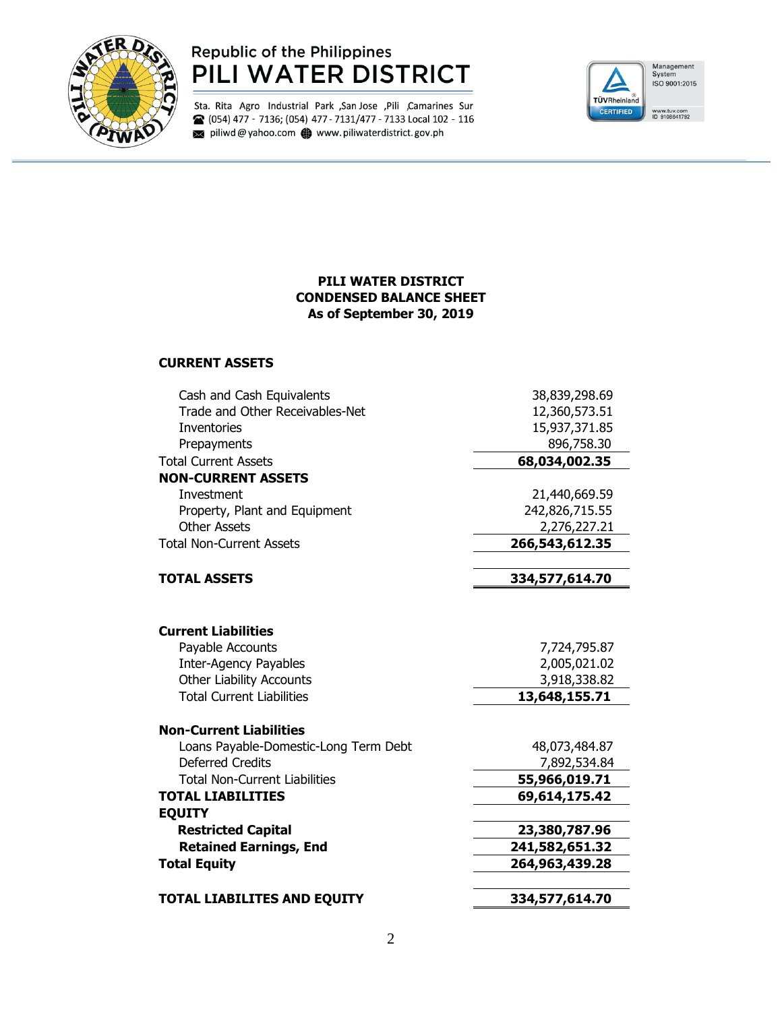

### Republic of the Philippines PILI WATER DISTRICT

Sta. Rita Agro Industrial Park ,San Jose ,Pili ,Camarines Sur <sup>2</sup> (054) 477 - 7136; (054) 477 - 7131/477 - 7133 Local 102 - 116 piliwd@yahoo.com www.piliwaterdistrict.gov.ph



### **PILI WATER DISTRICT CONDENSED BALANCE SHEET As of September 30, 2019**

#### **CURRENT ASSETS**

| 12,360,573.51<br>15,937,371.85<br>896,758.30<br>68,034,002.35 |
|---------------------------------------------------------------|
|                                                               |
|                                                               |
|                                                               |
|                                                               |
|                                                               |
| 21,440,669.59                                                 |
| 242,826,715.55                                                |
| 2,276,227.21                                                  |
| 266,543,612.35                                                |
| 334,577,614.70                                                |
|                                                               |
|                                                               |
| 7,724,795.87                                                  |
| 2,005,021.02                                                  |
| 3,918,338.82                                                  |
| 13,648,155.71                                                 |
|                                                               |
| 48,073,484.87                                                 |
| 7,892,534.84                                                  |
| 55,966,019.71                                                 |
| 69,614,175.42                                                 |
|                                                               |
|                                                               |
| 23,380,787.96                                                 |
| 241,582,651.32                                                |
| 264,963,439.28                                                |
|                                                               |